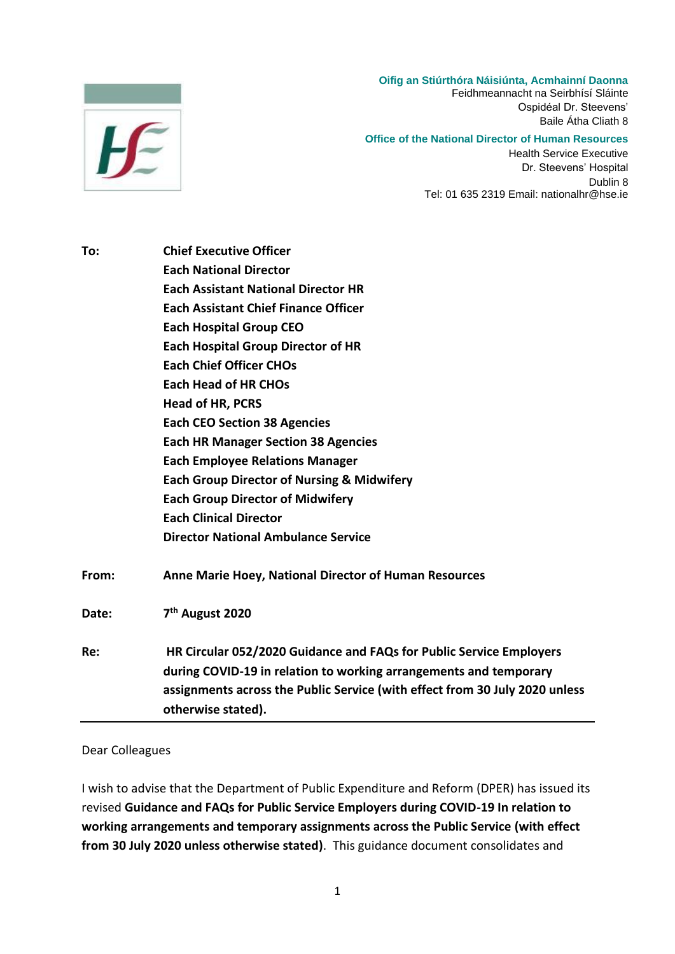# $F$

#### **Oifig an Stiúrthóra Náisiúnta, Acmhainní Daonna**

Feidhmeannacht na Seirbhísí Sláinte Ospidéal Dr. Steevens' Baile Átha Cliath 8

#### **Office of the National Director of Human Resources**

Health Service Executive Dr. Steevens' Hospital Dublin 8 Tel: 01 635 2319 Email: nationalhr@hse.ie

| <b>Chief Executive Officer</b>                                                                    |
|---------------------------------------------------------------------------------------------------|
| <b>Each National Director</b>                                                                     |
| <b>Each Assistant National Director HR</b>                                                        |
| <b>Each Assistant Chief Finance Officer</b>                                                       |
| <b>Each Hospital Group CEO</b>                                                                    |
| <b>Each Hospital Group Director of HR</b>                                                         |
| <b>Each Chief Officer CHOs</b>                                                                    |
| <b>Each Head of HR CHOs</b>                                                                       |
| <b>Head of HR, PCRS</b>                                                                           |
| <b>Each CEO Section 38 Agencies</b>                                                               |
| <b>Each HR Manager Section 38 Agencies</b>                                                        |
| <b>Each Employee Relations Manager</b>                                                            |
| <b>Each Group Director of Nursing &amp; Midwifery</b>                                             |
| <b>Each Group Director of Midwifery</b>                                                           |
| <b>Each Clinical Director</b>                                                                     |
| <b>Director National Ambulance Service</b>                                                        |
| Anne Marie Hoey, National Director of Human Resources                                             |
| 7 <sup>th</sup> August 2020                                                                       |
| HR Circular 052/2020 Guidance and FAQs for Public Service Employers                               |
| during COVID-19 in relation to working arrangements and temporary                                 |
| assignments across the Public Service (with effect from 30 July 2020 unless<br>otherwise stated). |
|                                                                                                   |

#### Dear Colleagues

I wish to advise that the Department of Public Expenditure and Reform (DPER) has issued its revised **Guidance and FAQs for Public Service Employers during COVID-19 In relation to working arrangements and temporary assignments across the Public Service (with effect from 30 July 2020 unless otherwise stated)**. This guidance document consolidates and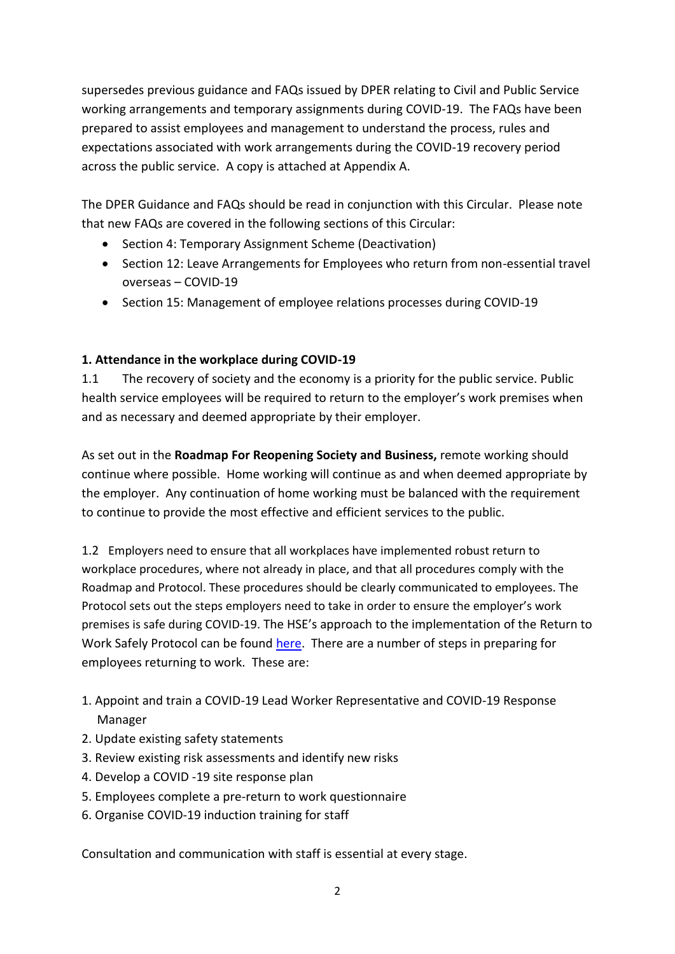supersedes previous guidance and FAQs issued by DPER relating to Civil and Public Service working arrangements and temporary assignments during COVID-19. The FAQs have been prepared to assist employees and management to understand the process, rules and expectations associated with work arrangements during the COVID-19 recovery period across the public service. A copy is attached at Appendix A.

The DPER Guidance and FAQs should be read in conjunction with this Circular. Please note that new FAQs are covered in the following sections of this Circular:

- Section 4: Temporary Assignment Scheme (Deactivation)
- Section 12: Leave Arrangements for Employees who return from non-essential travel overseas – COVID-19
- Section 15: Management of employee relations processes during COVID-19

# **1. Attendance in the workplace during COVID-19**

1.1 The recovery of society and the economy is a priority for the public service. Public health service employees will be required to return to the employer's work premises when and as necessary and deemed appropriate by their employer.

As set out in the **Roadmap For Reopening Society and Business,** remote working should continue where possible. Home working will continue as and when deemed appropriate by the employer. Any continuation of home working must be balanced with the requirement to continue to provide the most effective and efficient services to the public.

1.2 Employers need to ensure that all workplaces have implemented robust return to workplace procedures, where not already in place, and that all procedures comply with the Roadmap and Protocol. These procedures should be clearly communicated to employees. The Protocol sets out the steps employers need to take in order to ensure the employer's work premises is safe during COVID-19. The HSE's approach to the implementation of the Return to Work Safely Protocol can be found [here.](https://healthservice.hse.ie/staff/coronavirus/safety-in-the-workplace/managing-employees-return-to-work-safely1.html) There are a number of steps in preparing for employees returning to work. These are:

- 1. Appoint and train a COVID-19 Lead Worker Representative and COVID-19 Response Manager
- 2. Update existing safety statements
- 3. Review existing risk assessments and identify new risks
- 4. Develop a COVID -19 site response plan
- 5. Employees complete a pre-return to work questionnaire
- 6. Organise COVID-19 induction training for staff

Consultation and communication with staff is essential at every stage.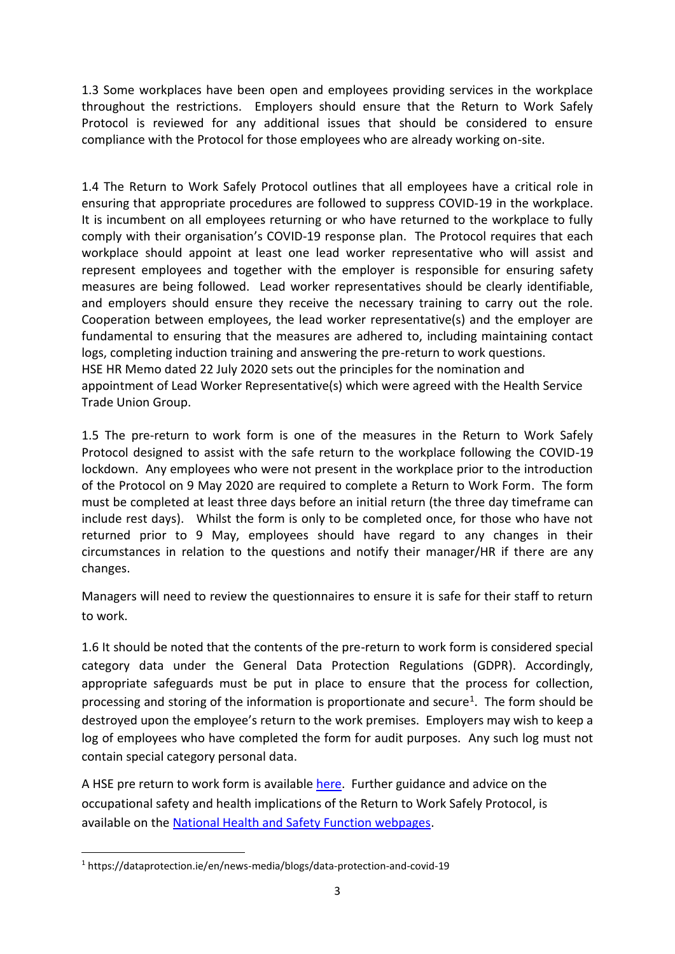1.3 Some workplaces have been open and employees providing services in the workplace throughout the restrictions. Employers should ensure that the Return to Work Safely Protocol is reviewed for any additional issues that should be considered to ensure compliance with the Protocol for those employees who are already working on-site.

1.4 The Return to Work Safely Protocol outlines that all employees have a critical role in ensuring that appropriate procedures are followed to suppress COVID-19 in the workplace. It is incumbent on all employees returning or who have returned to the workplace to fully comply with their organisation's COVID-19 response plan. The Protocol requires that each workplace should appoint at least one lead worker representative who will assist and represent employees and together with the employer is responsible for ensuring safety measures are being followed. Lead worker representatives should be clearly identifiable, and employers should ensure they receive the necessary training to carry out the role. Cooperation between employees, the lead worker representative(s) and the employer are fundamental to ensuring that the measures are adhered to, including maintaining contact logs, completing induction training and answering the pre-return to work questions. HSE HR Memo dated 22 July 2020 sets out the principles for the nomination and appointment of Lead Worker Representative(s) which were agreed with the Health Service Trade Union Group.

1.5 The pre-return to work form is one of the measures in the Return to Work Safely Protocol designed to assist with the safe return to the workplace following the COVID-19 lockdown. Any employees who were not present in the workplace prior to the introduction of the Protocol on 9 May 2020 are required to complete a Return to Work Form. The form must be completed at least three days before an initial return (the three day timeframe can include rest days). Whilst the form is only to be completed once, for those who have not returned prior to 9 May, employees should have regard to any changes in their circumstances in relation to the questions and notify their manager/HR if there are any changes.

Managers will need to review the questionnaires to ensure it is safe for their staff to return to work.

1.6 It should be noted that the contents of the pre-return to work form is considered special category data under the General Data Protection Regulations (GDPR). Accordingly, appropriate safeguards must be put in place to ensure that the process for collection, processing and storing of the information is proportionate and secure<sup>1</sup>. The form should be destroyed upon the employee's return to the work premises. Employers may wish to keep a log of employees who have completed the form for audit purposes. Any such log must not contain special category personal data.

A HSE pre return to work form is available [here.](https://healthservice.hse.ie/filelibrary/coronavirus/pre-return-to-workplace-form-covid19.docx) Further guidance and advice on the occupational safety and health implications of the Return to Work Safely Protocol, is available on the [National Health and Safety Function webpages.](https://www.hse.ie/eng/staff/safetywellbeing/healthsafetyand%20wellbeing/safetystatementsandriskassessments.html)

**.** 

<sup>1</sup> https://dataprotection.ie/en/news-media/blogs/data-protection-and-covid-19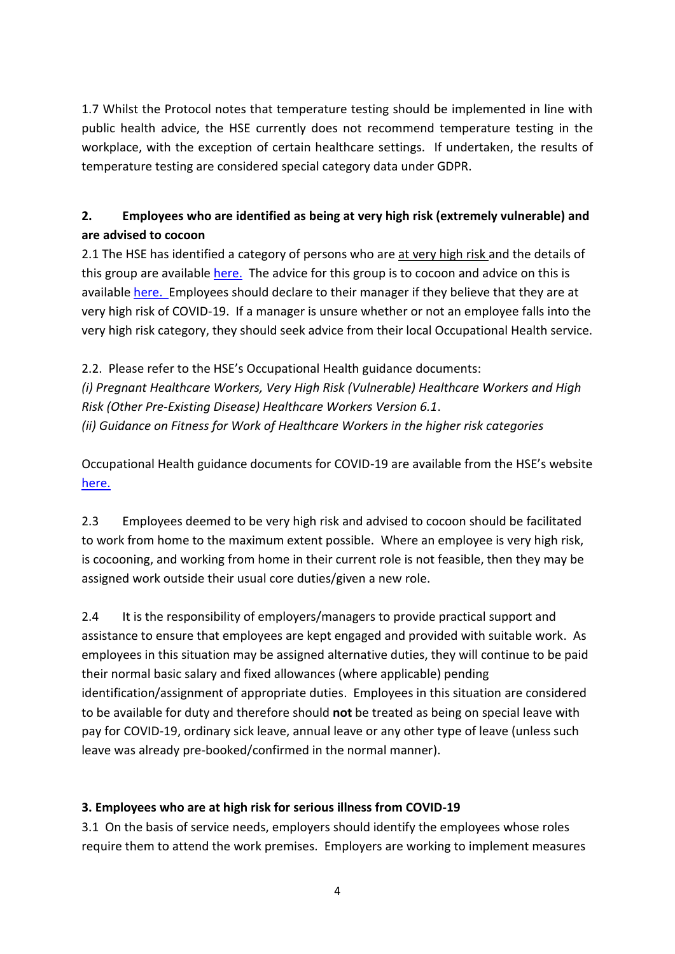1.7 Whilst the Protocol notes that temperature testing should be implemented in line with public health advice, the HSE currently does not recommend temperature testing in the workplace, with the exception of certain healthcare settings. If undertaken, the results of temperature testing are considered special category data under GDPR.

# **2. Employees who are identified as being at very high risk (extremely vulnerable) and are advised to cocoon**

2.1 The HSE has identified a category of persons who are at very high risk and the details of this group are available [here.](https://www2.hse.ie/conditions/coronavirus/people-at-higher-risk.html#very-high-risk) The advice for this group is to cocoon and advice on this is available [here.](https://www2.hse.ie/conditions/coronavirus/cocooning.html) Employees should declare to their manager if they believe that they are at very high risk of COVID-19. If a manager is unsure whether or not an employee falls into the very high risk category, they should seek advice from their local Occupational Health service.

2.2. Please refer to the HSE's Occupational Health guidance documents: *(i) Pregnant Healthcare Workers, Very High Risk (Vulnerable) Healthcare Workers and High Risk (Other Pre-Existing Disease) Healthcare Workers Version 6.1*. *(ii) Guidance on Fitness for Work of Healthcare Workers in the higher risk categories* 

Occupational Health guidance documents for COVID-19 are available from the HSE's website [here.](https://www.hse.ie/eng/staff/workplace-health-and-wellbeing-unit/covid-19-guidance/) 

2.3 Employees deemed to be very high risk and advised to cocoon should be facilitated to work from home to the maximum extent possible. Where an employee is very high risk, is cocooning, and working from home in their current role is not feasible, then they may be assigned work outside their usual core duties/given a new role.

2.4 It is the responsibility of employers/managers to provide practical support and assistance to ensure that employees are kept engaged and provided with suitable work. As employees in this situation may be assigned alternative duties, they will continue to be paid their normal basic salary and fixed allowances (where applicable) pending identification/assignment of appropriate duties. Employees in this situation are considered to be available for duty and therefore should **not** be treated as being on special leave with pay for COVID-19, ordinary sick leave, annual leave or any other type of leave (unless such leave was already pre-booked/confirmed in the normal manner).

# **3. Employees who are at high risk for serious illness from COVID-19**

3.1 On the basis of service needs, employers should identify the employees whose roles require them to attend the work premises. Employers are working to implement measures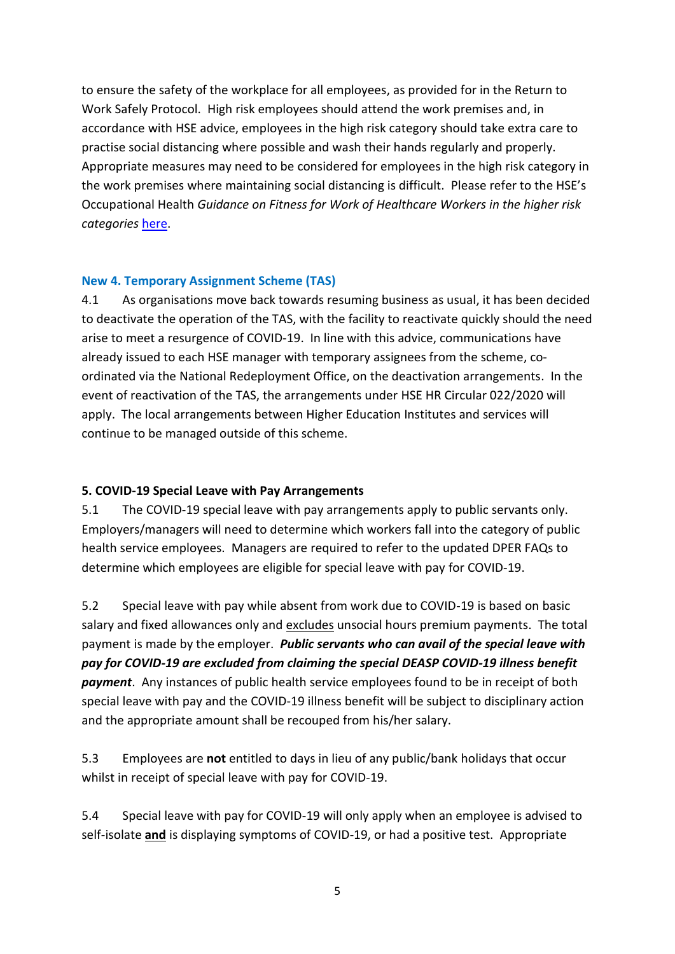to ensure the safety of the workplace for all employees, as provided for in the Return to Work Safely Protocol. High risk employees should attend the work premises and, in accordance with HSE advice, employees in the high risk category should take extra care to practise social distancing where possible and wash their hands regularly and properly. Appropriate measures may need to be considered for employees in the high risk category in the work premises where maintaining social distancing is difficult. Please refer to the HSE's Occupational Health *Guidance on Fitness for Work of Healthcare Workers in the higher risk categories* [here.](https://www.hse.ie/eng/staff/workplace-health-and-wellbeing-unit/covid-19-guidance/guidance-on-fitness-for-work-of-healthcare-workers-in-the-higher-risk-categories.pdf)

## **New 4. Temporary Assignment Scheme (TAS)**

4.1 As organisations move back towards resuming business as usual, it has been decided to deactivate the operation of the TAS, with the facility to reactivate quickly should the need arise to meet a resurgence of COVID-19. In line with this advice, communications have already issued to each HSE manager with temporary assignees from the scheme, coordinated via the National Redeployment Office, on the deactivation arrangements. In the event of reactivation of the TAS, the arrangements under HSE HR Circular 022/2020 will apply. The local arrangements between Higher Education Institutes and services will continue to be managed outside of this scheme.

## **5. COVID-19 Special Leave with Pay Arrangements**

5.1 The COVID-19 special leave with pay arrangements apply to public servants only. Employers/managers will need to determine which workers fall into the category of public health service employees. Managers are required to refer to the updated DPER FAQs to determine which employees are eligible for special leave with pay for COVID-19.

5.2 Special leave with pay while absent from work due to COVID-19 is based on basic salary and fixed allowances only and excludes unsocial hours premium payments. The total payment is made by the employer. *Public servants who can avail of the special leave with pay for COVID-19 are excluded from claiming the special DEASP COVID-19 illness benefit payment*. Any instances of public health service employees found to be in receipt of both special leave with pay and the COVID-19 illness benefit will be subject to disciplinary action and the appropriate amount shall be recouped from his/her salary.

5.3 Employees are **not** entitled to days in lieu of any public/bank holidays that occur whilst in receipt of special leave with pay for COVID-19.

5.4 Special leave with pay for COVID-19 will only apply when an employee is advised to self-isolate **and** is displaying symptoms of COVID-19, or had a positive test. Appropriate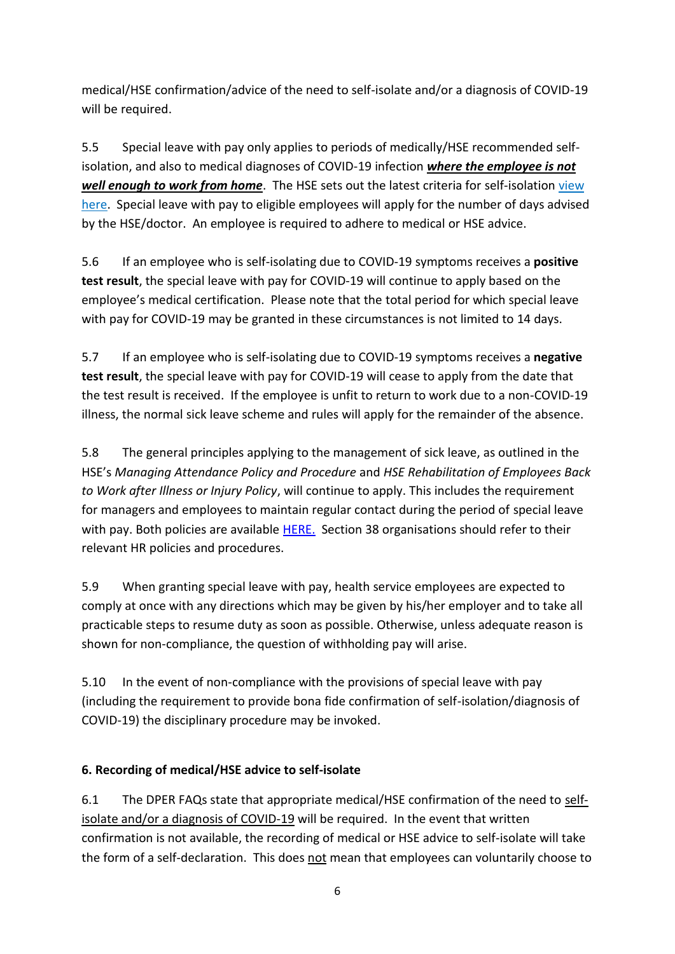medical/HSE confirmation/advice of the need to self-isolate and/or a diagnosis of COVID-19 will be required.

5.5 Special leave with pay only applies to periods of medically/HSE recommended selfisolation, and also to medical diagnoses of COVID-19 infection *where the employee is not well enough to work from home*. The HSE sets out the latest criteria for self-isolation [view](https://www2.hse.ie/conditions/coronavirus/self-isolation-and-limited-social-interaction.html)  [here.](https://www2.hse.ie/conditions/coronavirus/self-isolation-and-limited-social-interaction.html) Special leave with pay to eligible employees will apply for the number of days advised by the HSE/doctor. An employee is required to adhere to medical or HSE advice.

5.6 If an employee who is self-isolating due to COVID-19 symptoms receives a **positive test result**, the special leave with pay for COVID-19 will continue to apply based on the employee's medical certification. Please note that the total period for which special leave with pay for COVID-19 may be granted in these circumstances is not limited to 14 days.

5.7 If an employee who is self-isolating due to COVID-19 symptoms receives a **negative test result**, the special leave with pay for COVID-19 will cease to apply from the date that the test result is received. If the employee is unfit to return to work due to a non-COVID-19 illness, the normal sick leave scheme and rules will apply for the remainder of the absence.

5.8 The general principles applying to the management of sick leave, as outlined in the HSE's *Managing Attendance Policy and Procedure* and *HSE Rehabilitation of Employees Back to Work after Illness or Injury Policy*, will continue to apply. This includes the requirement for managers and employees to maintain regular contact during the period of special leave with pay. Both policies are available [HERE.](https://www.hse.ie/eng/staff/resources/hrppg/rehabilitation-of-employees-back-to-work-after-illness-or-injury.html) Section 38 organisations should refer to their relevant HR policies and procedures.

5.9 When granting special leave with pay, health service employees are expected to comply at once with any directions which may be given by his/her employer and to take all practicable steps to resume duty as soon as possible. Otherwise, unless adequate reason is shown for non-compliance, the question of withholding pay will arise.

5.10 In the event of non-compliance with the provisions of special leave with pay (including the requirement to provide bona fide confirmation of self-isolation/diagnosis of COVID-19) the disciplinary procedure may be invoked.

# **6. Recording of medical/HSE advice to self-isolate**

6.1 The DPER FAQs state that appropriate medical/HSE confirmation of the need to selfisolate and/or a diagnosis of COVID-19 will be required. In the event that written confirmation is not available, the recording of medical or HSE advice to self-isolate will take the form of a self-declaration. This does not mean that employees can voluntarily choose to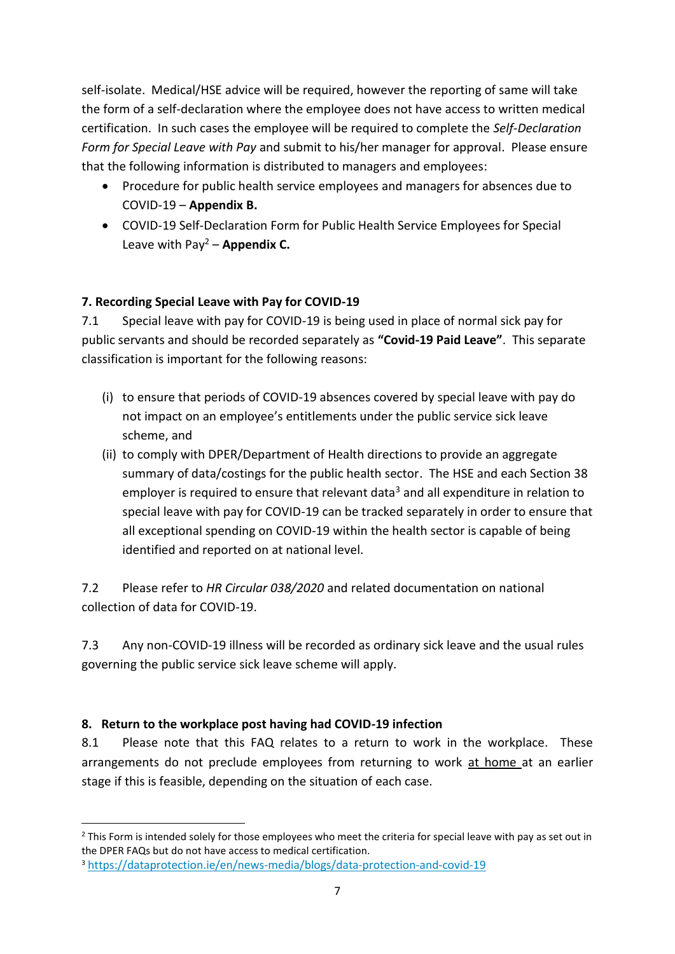self-isolate. Medical/HSE advice will be required, however the reporting of same will take the form of a self-declaration where the employee does not have access to written medical certification. In such cases the employee will be required to complete the *Self-Declaration Form for Special Leave with Pay* and submit to his/her manager for approval. Please ensure that the following information is distributed to managers and employees:

- Procedure for public health service employees and managers for absences due to COVID-19 – **Appendix B.**
- COVID-19 Self-Declaration Form for Public Health Service Employees for Special Leave with  $Pay<sup>2</sup> - Appendix C.$

# **7. Recording Special Leave with Pay for COVID-19**

7.1 Special leave with pay for COVID-19 is being used in place of normal sick pay for public servants and should be recorded separately as **"Covid-19 Paid Leave"**. This separate classification is important for the following reasons:

- (i) to ensure that periods of COVID-19 absences covered by special leave with pay do not impact on an employee's entitlements under the public service sick leave scheme, and
- (ii) to comply with DPER/Department of Health directions to provide an aggregate summary of data/costings for the public health sector. The HSE and each Section 38 employer is required to ensure that relevant data<sup>3</sup> and all expenditure in relation to special leave with pay for COVID-19 can be tracked separately in order to ensure that all exceptional spending on COVID-19 within the health sector is capable of being identified and reported on at national level.

7.2 Please refer to *HR Circular 038/2020* and related documentation on national collection of data for COVID-19.

7.3 Any non-COVID-19 illness will be recorded as ordinary sick leave and the usual rules governing the public service sick leave scheme will apply.

# **8. Return to the workplace post having had COVID-19 infection**

 $\overline{\phantom{a}}$ 

8.1 Please note that this FAQ relates to a return to work in the workplace. These arrangements do not preclude employees from returning to work at home at an earlier stage if this is feasible, depending on the situation of each case.

 $2$  This Form is intended solely for those employees who meet the criteria for special leave with pay as set out in the DPER FAQs but do not have access to medical certification.

<sup>3</sup> [https://dataprotection.ie/en/news-media/blogs/data-protection-and-covid-19](https://scanmail.trustwave.com/?c=17268&d=9rzp3v4FR3jAbN5BM0RIvu61Yx6DzHDzEdxdPN7wZg&s=343&u=https%3a%2f%2fdataprotection%2eie%2fen%2fnews-media%2fblogs%2fdata-protection-and-covid-19)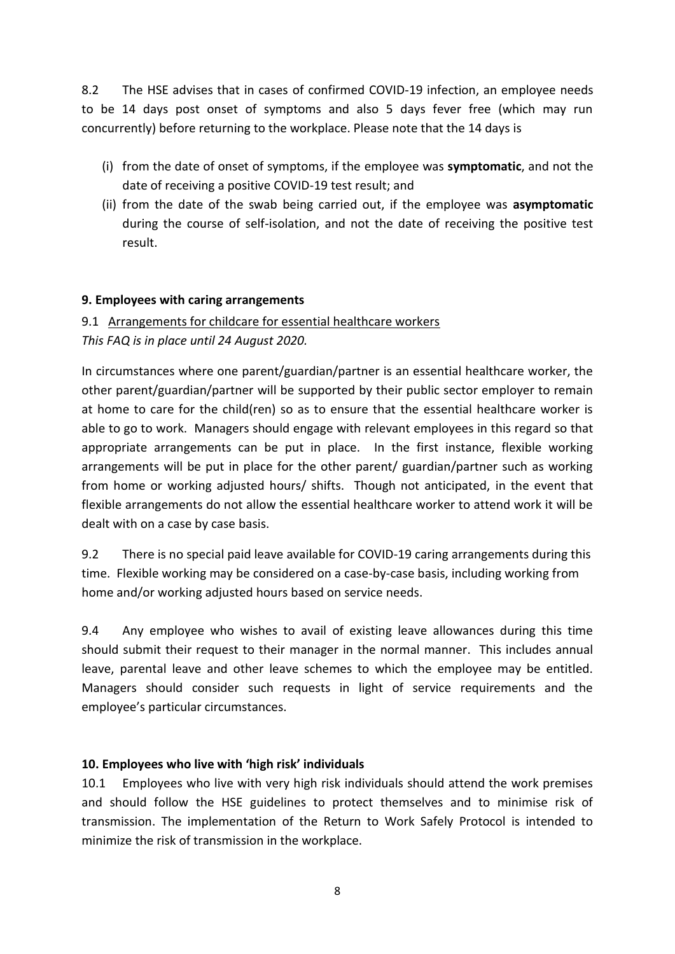8.2 The HSE advises that in cases of confirmed COVID-19 infection, an employee needs to be 14 days post onset of symptoms and also 5 days fever free (which may run concurrently) before returning to the workplace. Please note that the 14 days is

- (i) from the date of onset of symptoms, if the employee was **symptomatic**, and not the date of receiving a positive COVID-19 test result; and
- (ii) from the date of the swab being carried out, if the employee was **asymptomatic**  during the course of self-isolation, and not the date of receiving the positive test result.

## **9. Employees with caring arrangements**

# 9.1 Arrangements for childcare for essential healthcare workers

*This FAQ is in place until 24 August 2020.*

In circumstances where one parent/guardian/partner is an essential healthcare worker, the other parent/guardian/partner will be supported by their public sector employer to remain at home to care for the child(ren) so as to ensure that the essential healthcare worker is able to go to work. Managers should engage with relevant employees in this regard so that appropriate arrangements can be put in place. In the first instance, flexible working arrangements will be put in place for the other parent/ guardian/partner such as working from home or working adjusted hours/ shifts. Though not anticipated, in the event that flexible arrangements do not allow the essential healthcare worker to attend work it will be dealt with on a case by case basis.

9.2 There is no special paid leave available for COVID-19 caring arrangements during this time. Flexible working may be considered on a case-by-case basis, including working from home and/or working adjusted hours based on service needs.

9.4 Any employee who wishes to avail of existing leave allowances during this time should submit their request to their manager in the normal manner. This includes annual leave, parental leave and other leave schemes to which the employee may be entitled. Managers should consider such requests in light of service requirements and the employee's particular circumstances.

## **10. Employees who live with 'high risk' individuals**

10.1 Employees who live with very high risk individuals should attend the work premises and should follow the HSE guidelines to protect themselves and to minimise risk of transmission. The implementation of the Return to Work Safely Protocol is intended to minimize the risk of transmission in the workplace.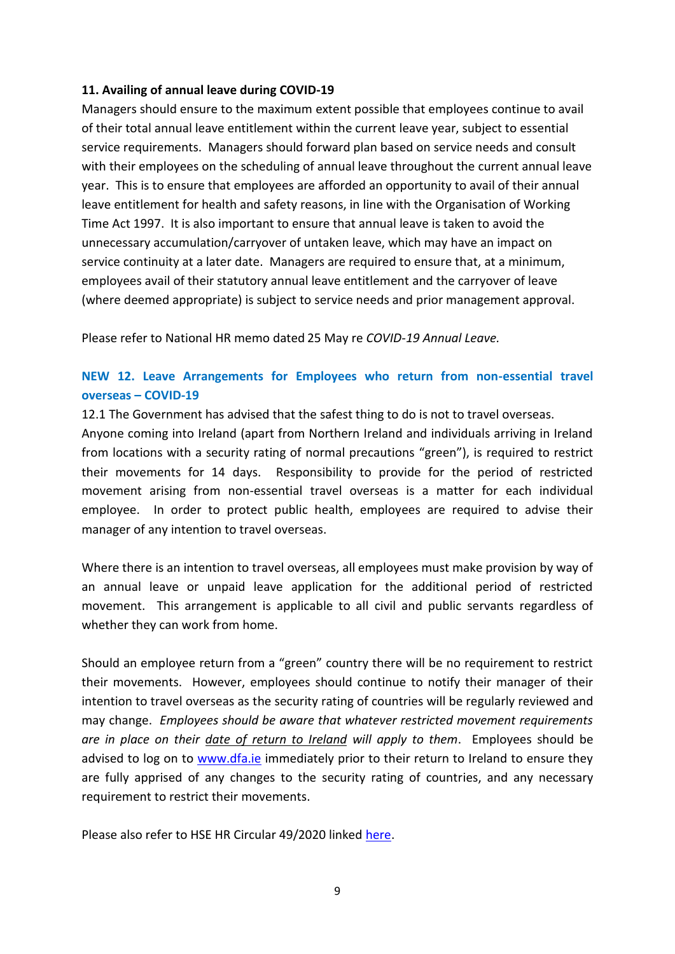## **11. Availing of annual leave during COVID-19**

Managers should ensure to the maximum extent possible that employees continue to avail of their total annual leave entitlement within the current leave year, subject to essential service requirements. Managers should forward plan based on service needs and consult with their employees on the scheduling of annual leave throughout the current annual leave year. This is to ensure that employees are afforded an opportunity to avail of their annual leave entitlement for health and safety reasons, in line with the Organisation of Working Time Act 1997. It is also important to ensure that annual leave is taken to avoid the unnecessary accumulation/carryover of untaken leave, which may have an impact on service continuity at a later date. Managers are required to ensure that, at a minimum, employees avail of their statutory annual leave entitlement and the carryover of leave (where deemed appropriate) is subject to service needs and prior management approval.

Please refer to National HR memo dated 25 May re *COVID-19 Annual Leave.*

# **NEW 12. Leave Arrangements for Employees who return from non-essential travel overseas – COVID-19**

12.1 The Government has advised that the safest thing to do is not to travel overseas.

Anyone coming into Ireland (apart from Northern Ireland and individuals arriving in Ireland from locations with a security rating of normal precautions "green"), is required to restrict their movements for 14 days. Responsibility to provide for the period of restricted movement arising from non-essential travel overseas is a matter for each individual employee. In order to protect public health, employees are required to advise their manager of any intention to travel overseas.

Where there is an intention to travel overseas, all employees must make provision by way of an annual leave or unpaid leave application for the additional period of restricted movement. This arrangement is applicable to all civil and public servants regardless of whether they can work from home.

Should an employee return from a "green" country there will be no requirement to restrict their movements. However, employees should continue to notify their manager of their intention to travel overseas as the security rating of countries will be regularly reviewed and may change. *Employees should be aware that whatever restricted movement requirements are in place on their date of return to Ireland will apply to them*. Employees should be advised to log on to [www.dfa.ie](https://www.dfa.ie/ie/) immediately prior to their return to Ireland to ensure they are fully apprised of any changes to the security rating of countries, and any necessary requirement to restrict their movements.

Please also refer to HSE HR Circular 49/2020 linked [here.](https://www.hse.ie/eng/staff/resources/hr-circulars/hr-circular-049-2020-leave-arrangements-for-employees-who-return-from-non-essential-travel-overseas-covid-19.html)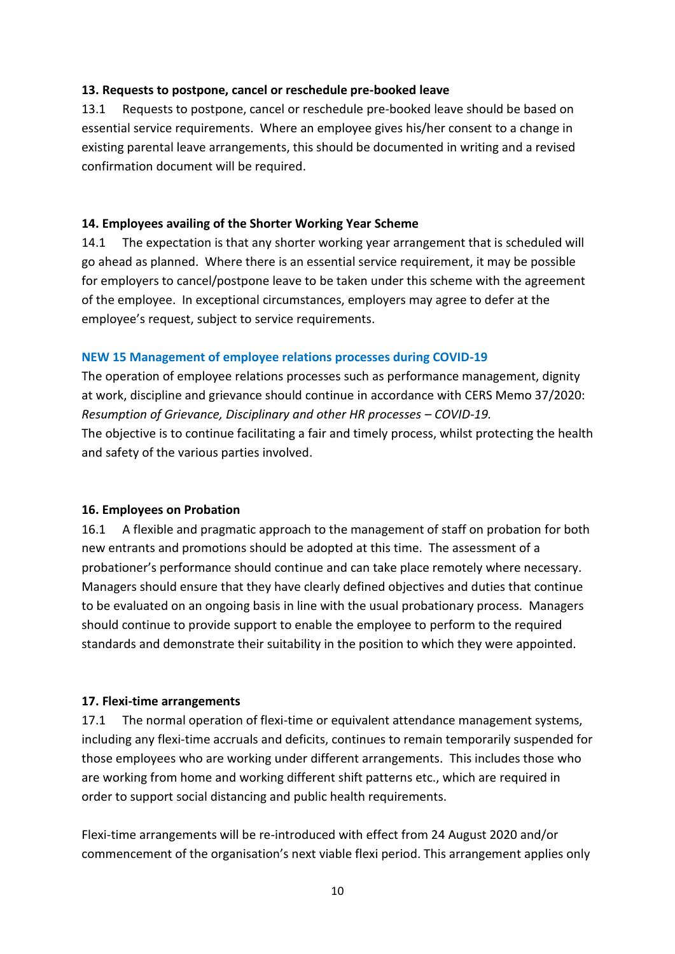#### **13. Requests to postpone, cancel or reschedule pre-booked leave**

13.1 Requests to postpone, cancel or reschedule pre-booked leave should be based on essential service requirements. Where an employee gives his/her consent to a change in existing parental leave arrangements, this should be documented in writing and a revised confirmation document will be required.

## **14. Employees availing of the Shorter Working Year Scheme**

14.1 The expectation is that any shorter working year arrangement that is scheduled will go ahead as planned. Where there is an essential service requirement, it may be possible for employers to cancel/postpone leave to be taken under this scheme with the agreement of the employee. In exceptional circumstances, employers may agree to defer at the employee's request, subject to service requirements.

## **NEW 15 Management of employee relations processes during COVID-19**

The operation of employee relations processes such as performance management, dignity at work, discipline and grievance should continue in accordance with CERS Memo 37/2020: *Resumption of Grievance, Disciplinary and other HR processes – COVID-19.* The objective is to continue facilitating a fair and timely process, whilst protecting the health and safety of the various parties involved.

#### **16. Employees on Probation**

16.1 A flexible and pragmatic approach to the management of staff on probation for both new entrants and promotions should be adopted at this time. The assessment of a probationer's performance should continue and can take place remotely where necessary. Managers should ensure that they have clearly defined objectives and duties that continue to be evaluated on an ongoing basis in line with the usual probationary process. Managers should continue to provide support to enable the employee to perform to the required standards and demonstrate their suitability in the position to which they were appointed.

#### **17. Flexi-time arrangements**

17.1 The normal operation of flexi-time or equivalent attendance management systems, including any flexi-time accruals and deficits, continues to remain temporarily suspended for those employees who are working under different arrangements. This includes those who are working from home and working different shift patterns etc., which are required in order to support social distancing and public health requirements.

Flexi-time arrangements will be re-introduced with effect from 24 August 2020 and/or commencement of the organisation's next viable flexi period. This arrangement applies only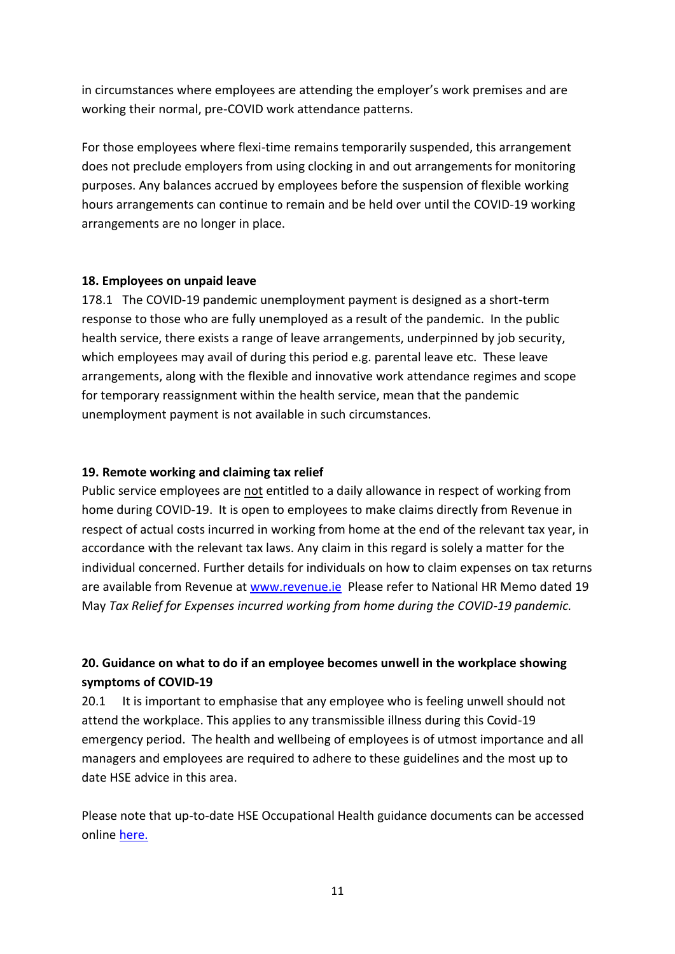in circumstances where employees are attending the employer's work premises and are working their normal, pre-COVID work attendance patterns.

For those employees where flexi-time remains temporarily suspended, this arrangement does not preclude employers from using clocking in and out arrangements for monitoring purposes. Any balances accrued by employees before the suspension of flexible working hours arrangements can continue to remain and be held over until the COVID-19 working arrangements are no longer in place.

## **18. Employees on unpaid leave**

178.1 The COVID-19 pandemic unemployment payment is designed as a short-term response to those who are fully unemployed as a result of the pandemic. In the public health service, there exists a range of leave arrangements, underpinned by job security, which employees may avail of during this period e.g. parental leave etc. These leave arrangements, along with the flexible and innovative work attendance regimes and scope for temporary reassignment within the health service, mean that the pandemic unemployment payment is not available in such circumstances.

## **19. Remote working and claiming tax relief**

Public service employees are not entitled to a daily allowance in respect of working from home during COVID-19. It is open to employees to make claims directly from Revenue in respect of actual costs incurred in working from home at the end of the relevant tax year, in accordance with the relevant tax laws. Any claim in this regard is solely a matter for the individual concerned. Further details for individuals on how to claim expenses on tax returns are available from Revenue at [www.revenue.ie](http://www.revenue.ie/) Please refer to National HR Memo dated 19 May *Tax Relief for Expenses incurred working from home during the COVID-19 pandemic.*

# **20. Guidance on what to do if an employee becomes unwell in the workplace showing symptoms of COVID-19**

20.1 It is important to emphasise that any employee who is feeling unwell should not attend the workplace. This applies to any transmissible illness during this Covid-19 emergency period. The health and wellbeing of employees is of utmost importance and all managers and employees are required to adhere to these guidelines and the most up to date HSE advice in this area.

Please note that up-to-date HSE Occupational Health guidance documents can be accessed online [here.](https://www.hse.ie/eng/staff/workplace-health-and-wellbeing-unit/covid-19-guidance/)